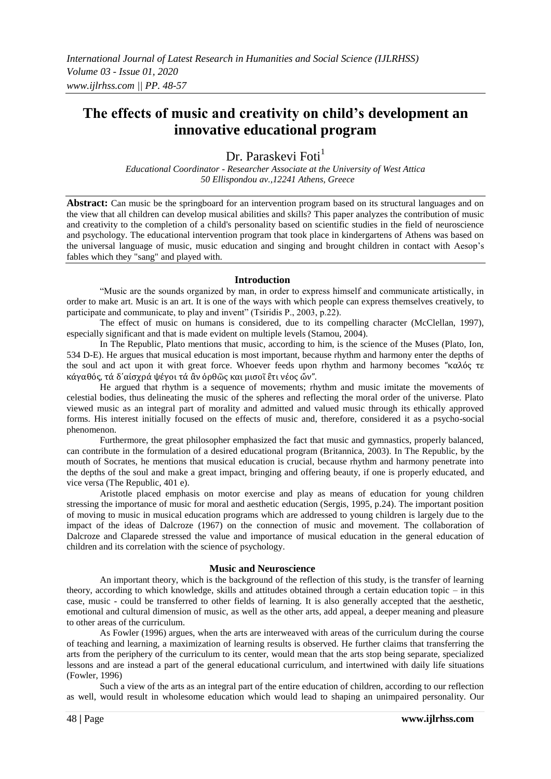# **The effects of music and creativity on child's development an innovative educational program**

Dr. Paraskevi Foti<sup>1</sup>

*Educational Coordinator - Researcher Associate at the University of West Attica 50 Ellispondou av.,12241 Athens, Greece*

Abstract: Can music be the springboard for an intervention program based on its structural languages and on the view that all children can develop musical abilities and skills? This paper analyzes the contribution of music and creativity to the completion of a child's personality based on scientific studies in the field of neuroscience and psychology. The educational intervention program that took place in kindergartens of Athens was based on the universal language of music, music education and singing and brought children in contact with Aesop's fables which they "sang" and played with.

#### **Introduction**

"Music are the sounds organized by man, in order to express himself and communicate artistically, in order to make art. Music is an art. It is one of the ways with which people can express themselves creatively, to participate and communicate, to play and invent" (Tsiridis P., 2003, p.22).

The effect of music on humans is considered, due to its compelling character (McClellan, 1997), especially significant and that is made evident on multiple levels (Stamou, 2004).

In The Republic, Plato mentions that music, according to him, is the science of the Muses (Plato, Ion, 534 D-E). He argues that musical education is most important, because rhythm and harmony enter the depths of the soul and act upon it with great force. Whoever feeds upon rhythm and harmony becomes "καλός τε κἀγαθός, τά δ΄αἰσχρά ψέγοι τά ἂν ὀρθῶς και μισοῖ ἒτι νέος ὤν".

He argued that rhythm is a sequence of movements; rhythm and music imitate the movements of celestial bodies, thus delineating the music of the spheres and reflecting the moral order of the universe. Plato viewed music as an integral part of morality and admitted and valued music through its ethically approved forms. His interest initially focused on the effects of music and, therefore, considered it as a psycho-social phenomenon.

Furthermore, the great philosopher emphasized the fact that music and gymnastics, properly balanced, can contribute in the formulation of a desired educational program (Britannica, 2003). In The Republic, by the mouth of Socrates, he mentions that musical education is crucial, because rhythm and harmony penetrate into the depths of the soul and make a great impact, bringing and offering beauty, if one is properly educated, and vice versa (The Republic, 401 e).

Aristotle placed emphasis on motor exercise and play as means of education for young children stressing the importance of music for moral and aesthetic education (Sergis, 1995, p.24). The important position of moving to music in musical education programs which are addressed to young children is largely due to the impact of the ideas of Dalcroze (1967) on the connection of music and movement. The collaboration of Dalcroze and Claparede stressed the value and importance of musical education in the general education of children and its correlation with the science of psychology.

#### **Music and Neuroscience**

An important theory, which is the background of the reflection of this study, is the transfer of learning theory, according to which knowledge, skills and attitudes obtained through a certain education topic – in this case, music - could be transferred to other fields of learning. It is also generally accepted that the aesthetic, emotional and cultural dimension of music, as well as the other arts, add appeal, a deeper meaning and pleasure to other areas of the curriculum.

As Fowler (1996) argues, when the arts are interweaved with areas of the curriculum during the course of teaching and learning, a maximization of learning results is observed. He further claims that transferring the arts from the periphery of the curriculum to its center, would mean that the arts stop being separate, specialized lessons and are instead a part of the general educational curriculum, and intertwined with daily life situations (Fowler, 1996)

Such a view of the arts as an integral part of the entire education of children, according to our reflection as well, would result in wholesome education which would lead to shaping an unimpaired personality. Our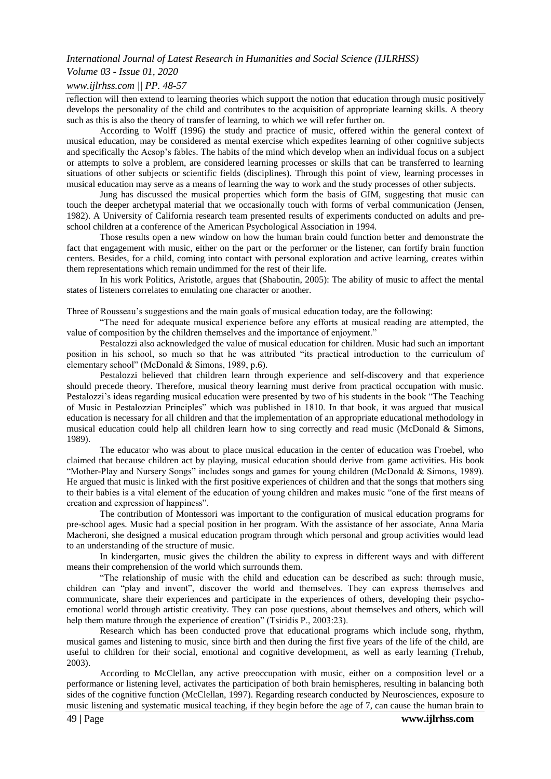#### *Volume 03 - Issue 01, 2020*

#### *www.ijlrhss.com || PP. 48-57*

reflection will then extend to learning theories which support the notion that education through music positively develops the personality of the child and contributes to the acquisition of appropriate learning skills. A theory such as this is also the theory of transfer of learning, to which we will refer further on.

According to Wolff (1996) the study and practice of music, offered within the general context of musical education, may be considered as mental exercise which expedites learning of other cognitive subjects and specifically the Aesop's fables. The habits of the mind which develop when an individual focus on a subject or attempts to solve a problem, are considered learning processes or skills that can be transferred to learning situations of other subjects or scientific fields (disciplines). Through this point of view, learning processes in musical education may serve as a means of learning the way to work and the study processes of other subjects.

Jung has discussed the musical properties which form the basis of GIM, suggesting that music can touch the deeper archetypal material that we occasionally touch with forms of verbal communication (Jensen, 1982). A University of California research team presented results of experiments conducted on adults and preschool children at a conference of the American Psychological Association in 1994.

Those results open a new window on how the human brain could function better and demonstrate the fact that engagement with music, either on the part or the performer or the listener, can fortify brain function centers. Besides, for a child, coming into contact with personal exploration and active learning, creates within them representations which remain undimmed for the rest of their life.

In his work Politics, Aristotle, argues that (Shaboutin, 2005): The ability of music to affect the mental states of listeners correlates to emulating one character or another.

Three of Rousseau's suggestions and the main goals of musical education today, are the following:

"The need for adequate musical experience before any efforts at musical reading are attempted, the value of composition by the children themselves and the importance of enjoyment."

Pestalozzi also acknowledged the value of musical education for children. Music had such an important position in his school, so much so that he was attributed "its practical introduction to the curriculum of elementary school" (McDonald & Simons, 1989, p.6).

Pestalozzi believed that children learn through experience and self-discovery and that experience should precede theory. Therefore, musical theory learning must derive from practical occupation with music. Pestalozzi's ideas regarding musical education were presented by two of his students in the book "The Teaching of Music in Pestalozzian Principles" which was published in 1810. In that book, it was argued that musical education is necessary for all children and that the implementation of an appropriate educational methodology in musical education could help all children learn how to sing correctly and read music (McDonald & Simons, 1989).

The educator who was about to place musical education in the center of education was Froebel, who claimed that because children act by playing, musical education should derive from game activities. His book "Mother-Play and Nursery Songs" includes songs and games for young children (McDonald & Simons, 1989). He argued that music is linked with the first positive experiences of children and that the songs that mothers sing to their babies is a vital element of the education of young children and makes music "one of the first means of creation and expression of happiness".

The contribution of Montessori was important to the configuration of musical education programs for pre-school ages. Music had a special position in her program. With the assistance of her associate, Anna Maria Macheroni, she designed a musical education program through which personal and group activities would lead to an understanding of the structure of music.

In kindergarten, music gives the children the ability to express in different ways and with different means their comprehension of the world which surrounds them.

"The relationship of music with the child and education can be described as such: through music, children can "play and invent", discover the world and themselves. They can express themselves and communicate, share their experiences and participate in the experiences of others, developing their psychoemotional world through artistic creativity. They can pose questions, about themselves and others, which will help them mature through the experience of creation" (Tsiridis P., 2003:23).

Research which has been conducted prove that educational programs which include song, rhythm, musical games and listening to music, since birth and then during the first five years of the life of the child, are useful to children for their social, emotional and cognitive development, as well as early learning (Trehub, 2003).

According to McClellan, any active preoccupation with music, either on a composition level or a performance or listening level, activates the participation of both brain hemispheres, resulting in balancing both sides of the cognitive function (McClellan, 1997). Regarding research conducted by Neurosciences, exposure to music listening and systematic musical teaching, if they begin before the age of 7, can cause the human brain to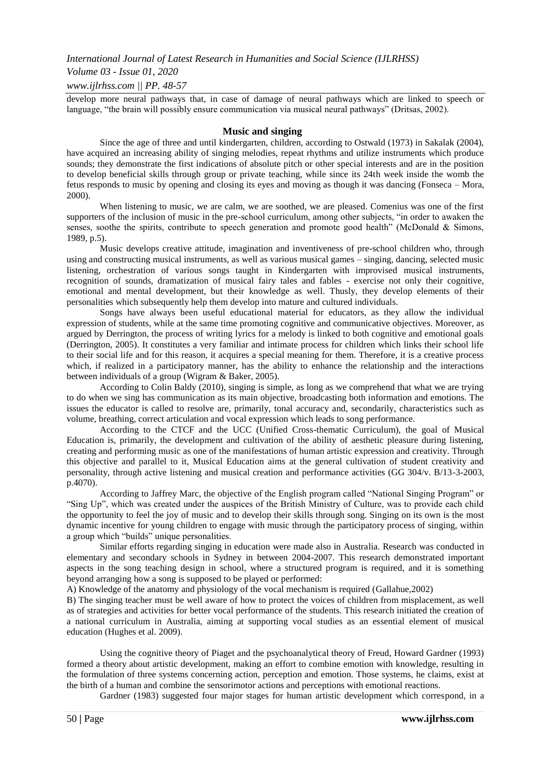### *Volume 03 - Issue 01, 2020*

#### *www.ijlrhss.com || PP. 48-57*

develop more neural pathways that, in case of damage of neural pathways which are linked to speech or language, "the brain will possibly ensure communication via musical neural pathways" (Dritsas, 2002).

#### **Music and singing**

Since the age of three and until kindergarten, children, according to Ostwald (1973) in Sakalak (2004), have acquired an increasing ability of singing melodies, repeat rhythms and utilize instruments which produce sounds; they demonstrate the first indications of absolute pitch or other special interests and are in the position to develop beneficial skills through group or private teaching, while since its 24th week inside the womb the fetus responds to music by opening and closing its eyes and moving as though it was dancing (Fonseca – Mora, 2000).

When listening to music, we are calm, we are soothed, we are pleased. Comenius was one of the first supporters of the inclusion of music in the pre-school curriculum, among other subjects, "in order to awaken the senses, soothe the spirits, contribute to speech generation and promote good health" (McDonald  $\&$  Simons, 1989, p.5).

Music develops creative attitude, imagination and inventiveness of pre-school children who, through using and constructing musical instruments, as well as various musical games – singing, dancing, selected music listening, orchestration of various songs taught in Kindergarten with improvised musical instruments, recognition of sounds, dramatization of musical fairy tales and fables - exercise not only their cognitive, emotional and mental development, but their knowledge as well. Thusly, they develop elements of their personalities which subsequently help them develop into mature and cultured individuals.

Songs have always been useful educational material for educators, as they allow the individual expression of students, while at the same time promoting cognitive and communicative objectives. Moreover, as argued by Derrington, the process of writing lyrics for a melody is linked to both cognitive and emotional goals (Derrington, 2005). It constitutes a very familiar and intimate process for children which links their school life to their social life and for this reason, it acquires a special meaning for them. Therefore, it is a creative process which, if realized in a participatory manner, has the ability to enhance the relationship and the interactions between individuals of a group (Wigram & Baker, 2005).

According to Colin Baldy (2010), singing is simple, as long as we comprehend that what we are trying to do when we sing has communication as its main objective, broadcasting both information and emotions. The issues the educator is called to resolve are, primarily, tonal accuracy and, secondarily, characteristics such as volume, breathing, correct articulation and vocal expression which leads to song performance.

According to the CTCF and the UCC (Unified Cross-thematic Curriculum), the goal of Musical Education is, primarily, the development and cultivation of the ability of aesthetic pleasure during listening, creating and performing music as one of the manifestations of human artistic expression and creativity. Through this objective and parallel to it, Musical Education aims at the general cultivation of student creativity and personality, through active listening and musical creation and performance activities (GG 304/v. B/13-3-2003, p.4070).

According to Jaffrey Marc, the objective of the English program called "National Singing Program" or "Sing Up", which was created under the auspices of the British Ministry of Culture, was to provide each child the opportunity to feel the joy of music and to develop their skills through song. Singing on its own is the most dynamic incentive for young children to engage with music through the participatory process of singing, within a group which "builds" unique personalities.

Similar efforts regarding singing in education were made also in Australia. Research was conducted in elementary and secondary schools in Sydney in between 2004-2007. This research demonstrated important aspects in the song teaching design in school, where a structured program is required, and it is something beyond arranging how a song is supposed to be played or performed:

A) Knowledge of the anatomy and physiology of the vocal mechanism is required (Gallahue,2002)

B) The singing teacher must be well aware of how to protect the voices of children from misplacement, as well as of strategies and activities for better vocal performance of the students. This research initiated the creation of a national curriculum in Australia, aiming at supporting vocal studies as an essential element of musical education (Hughes et al. 2009).

Using the cognitive theory of Piaget and the psychoanalytical theory of Freud, Howard Gardner (1993) formed a theory about artistic development, making an effort to combine emotion with knowledge, resulting in the formulation of three systems concerning action, perception and emotion. Those systems, he claims, exist at the birth of a human and combine the sensorimotor actions and perceptions with emotional reactions.

Gardner (1983) suggested four major stages for human artistic development which correspond, in a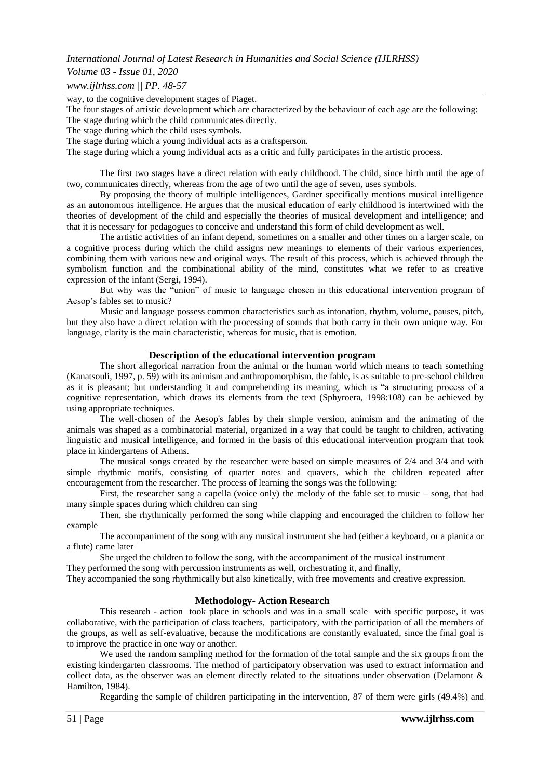#### *Volume 03 - Issue 01, 2020*

*www.ijlrhss.com || PP. 48-57*

way, to the cognitive development stages of Piaget.

The four stages of artistic development which are characterized by the behaviour of each age are the following:

The stage during which the child communicates directly.

The stage during which the child uses symbols.

The stage during which a young individual acts as a craftsperson.

The stage during which a young individual acts as a critic and fully participates in the artistic process.

The first two stages have a direct relation with early childhood. The child, since birth until the age of two, communicates directly, whereas from the age of two until the age of seven, uses symbols.

By proposing the theory of multiple intelligences, Gardner specifically mentions musical intelligence as an autonomous intelligence. He argues that the musical education of early childhood is intertwined with the theories of development of the child and especially the theories of musical development and intelligence; and that it is necessary for pedagogues to conceive and understand this form of child development as well.

The artistic activities of an infant depend, sometimes on a smaller and other times on a larger scale, on a cognitive process during which the child assigns new meanings to elements of their various experiences, combining them with various new and original ways. The result of this process, which is achieved through the symbolism function and the combinational ability of the mind, constitutes what we refer to as creative expression of the infant (Sergi, 1994).

But why was the "union" of music to language chosen in this educational intervention program of Aesop's fables set to music?

Music and language possess common characteristics such as intonation, rhythm, volume, pauses, pitch, but they also have a direct relation with the processing of sounds that both carry in their own unique way. For language, clarity is the main characteristic, whereas for music, that is emotion.

#### **Description of the educational intervention program**

The short allegorical narration from the animal or the human world which means to teach something (Kanatsouli, 1997, p. 59) with its animism and anthropomorphism, the fable, is as suitable to pre-school children as it is pleasant; but understanding it and comprehending its meaning, which is "a structuring process of a cognitive representation, which draws its elements from the text (Sphyroera, 1998:108) can be achieved by using appropriate techniques.

The well-chosen of the Aesop's fables by their simple version, animism and the animating of the animals was shaped as a combinatorial material, organized in a way that could be taught to children, activating linguistic and musical intelligence, and formed in the basis of this educational intervention program that took place in kindergartens of Athens.

The musical songs created by the researcher were based on simple measures of 2/4 and 3/4 and with simple rhythmic motifs, consisting of quarter notes and quavers, which the children repeated after encouragement from the researcher. The process of learning the songs was the following:

First, the researcher sang a capella (voice only) the melody of the fable set to music – song, that had many simple spaces during which children can sing

Then, she rhythmically performed the song while clapping and encouraged the children to follow her example

The accompaniment of the song with any musical instrument she had (either a keyboard, or a pianica or a flute) came later

She urged the children to follow the song, with the accompaniment of the musical instrument

They performed the song with percussion instruments as well, orchestrating it, and finally,

They accompanied the song rhythmically but also kinetically, with free movements and creative expression.

#### **Methodology- Action Research**

Τhis research - action took place in schools and was in a small scale with specific purpose, it was collaborative, with the participation of class teachers, participatory, with the participation of all the members of the groups, as well as self-evaluative, because the modifications are constantly evaluated, since the final goal is to improve the practice in one way or another.

We used the random sampling method for the formation of the total sample and the six groups from the existing kindergarten classrooms. The method of participatory observation was used to extract information and collect data, as the observer was an element directly related to the situations under observation (Delamont & Hamilton, 1984).

Regarding the sample of children participating in the intervention, 87 of them were girls (49.4%) and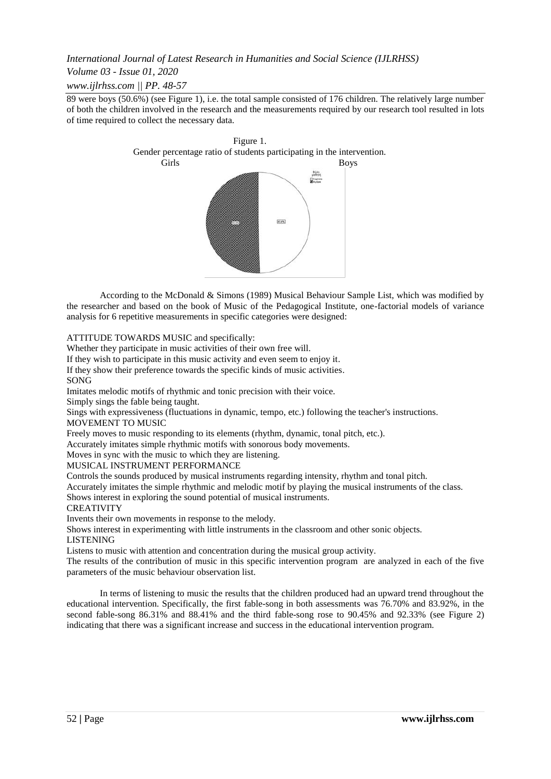## *Volume 03 - Issue 01, 2020*

*www.ijlrhss.com || PP. 48-57*

89 were boys (50.6%) (see Figure 1), i.e. the total sample consisted of 176 children. The relatively large number of both the children involved in the research and the measurements required by our research tool resulted in lots of time required to collect the necessary data.



According to the McDonald & Simons (1989) Musical Behaviour Sample List, which was modified by the researcher and based on the book of Music of the Pedagogical Institute, one-factorial models of variance analysis for 6 repetitive measurements in specific categories were designed:

ATTITUDE TOWARDS MUSIC and specifically:

Whether they participate in music activities of their own free will.

If they wish to participate in this music activity and even seem to enjoy it.

If they show their preference towards the specific kinds of music activities.

SONG

Imitates melodic motifs of rhythmic and tonic precision with their voice.

Simply sings the fable being taught.

Sings with expressiveness (fluctuations in dynamic, tempo, etc.) following the teacher's instructions. MOVEMENT TO MUSIC

Freely moves to music responding to its elements (rhythm, dynamic, tonal pitch, etc.).

Accurately imitates simple rhythmic motifs with sonorous body movements.

Moves in sync with the music to which they are listening.

MUSICAL INSTRUMENT PERFORMANCE

Controls the sounds produced by musical instruments regarding intensity, rhythm and tonal pitch.

Accurately imitates the simple rhythmic and melodic motif by playing the musical instruments of the class.

Shows interest in exploring the sound potential of musical instruments.

#### **CREATIVITY**

Invents their own movements in response to the melody.

Shows interest in experimenting with little instruments in the classroom and other sonic objects.

LISTENING

Listens to music with attention and concentration during the musical group activity.

The results of the contribution of music in this specific intervention program are analyzed in each of the five parameters of the music behaviour observation list.

In terms of listening to music the results that the children produced had an upward trend throughout the educational intervention. Specifically, the first fable-song in both assessments was 76.70% and 83.92%, in the second fable-song 86.31% and 88.41% and the third fable-song rose to 90.45% and 92.33% (see Figure 2) indicating that there was a significant increase and success in the educational intervention program.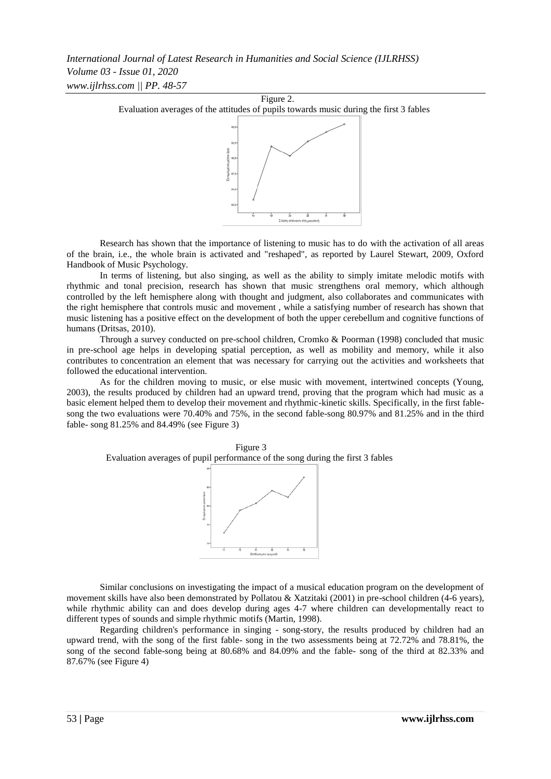

Research has shown that the importance of listening to music has to do with the activation of all areas of the brain, i.e., the whole brain is activated and "reshaped", as reported by Laurel Stewart, 2009, Oxford Handbook of Music Psychology.

In terms of listening, but also singing, as well as the ability to simply imitate melodic motifs with rhythmic and tonal precision, research has shown that music strengthens oral memory, which although controlled by the left hemisphere along with thought and judgment, also collaborates and communicates with the right hemisphere that controls music and movement , while a satisfying number of research has shown that music listening has a positive effect on the development of both the upper cerebellum and cognitive functions of humans (Dritsas, 2010).

Through a survey conducted on pre-school children, Cromko & Poorman (1998) concluded that music in pre-school age helps in developing spatial perception, as well as mobility and memory, while it also contributes to concentration an element that was necessary for carrying out the activities and worksheets that followed the educational intervention.

As for the children moving to music, or else music with movement, intertwined concepts (Young, 2003), the results produced by children had an upward trend, proving that the program which had music as a basic element helped them to develop their movement and rhythmic-kinetic skills. Specifically, in the first fablesong the two evaluations were 70.40% and 75%, in the second fable-song 80.97% and 81.25% and in the third fable- song 81.25% and 84.49% (see Figure 3)



Similar conclusions on investigating the impact of a musical education program on the development of movement skills have also been demonstrated by Pollatou & Xatzitaki (2001) in pre-school children (4-6 years), while rhythmic ability can and does develop during ages 4-7 where children can developmentally react to different types of sounds and simple rhythmic motifs (Martin, 1998).

Regarding children's performance in singing - song-story, the results produced by children had an upward trend, with the song of the first fable- song in the two assessments being at 72.72% and 78.81%, the song of the second fable-song being at 80.68% and 84.09% and the fable- song of the third at 82.33% and 87.67% (see Figure 4)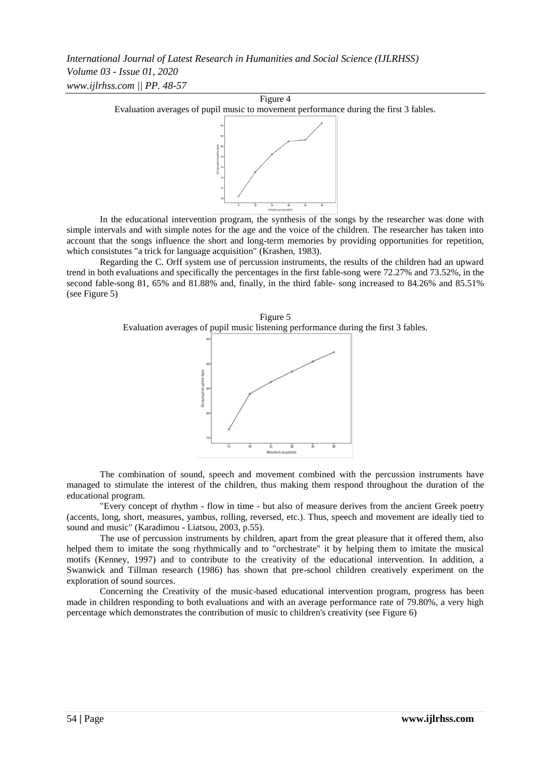

In the educational intervention program, the synthesis of the songs by the researcher was done with simple intervals and with simple notes for the age and the voice of the children. The researcher has taken into account that the songs influence the short and long-term memories by providing opportunities for repetition, which consistutes "a trick for language acquisition" (Krashen, 1983).

Regarding the C. Orff system use of percussion instruments, the results of the children had an upward trend in both evaluations and specifically the percentages in the first fable-song were 72.27% and 73.52%, in the second fable-song 81, 65% and 81.88% and, finally, in the third fable- song increased to 84.26% and 85.51% (see Figure 5)

Figure 5 Evaluation averages of pupil music listening performance during the first 3 fables.



The combination of sound, speech and movement combined with the percussion instruments have managed to stimulate the interest of the children, thus making them respond throughout the duration of the educational program.

"Every concept of rhythm - flow in time - but also of measure derives from the ancient Greek poetry (accents, long, short, measures, yambus, rolling, reversed, etc.). Thus, speech and movement are ideally tied to sound and music" (Karadimou - Liatsou, 2003, p.55).

The use of percussion instruments by children, apart from the great pleasure that it offered them, also helped them to imitate the song rhythmically and to "orchestrate" it by helping them to imitate the musical motifs (Kenney, 1997) and to contribute to the creativity of the educational intervention. In addition, a Swanwick and Tillman research (1986) has shown that pre-school children creatively experiment on the exploration of sound sources.

Concerning the Creativity of the music-based educational intervention program, progress has been made in children responding to both evaluations and with an average performance rate of 79.80%, a very high percentage which demonstrates the contribution of music to children's creativity (see Figure 6)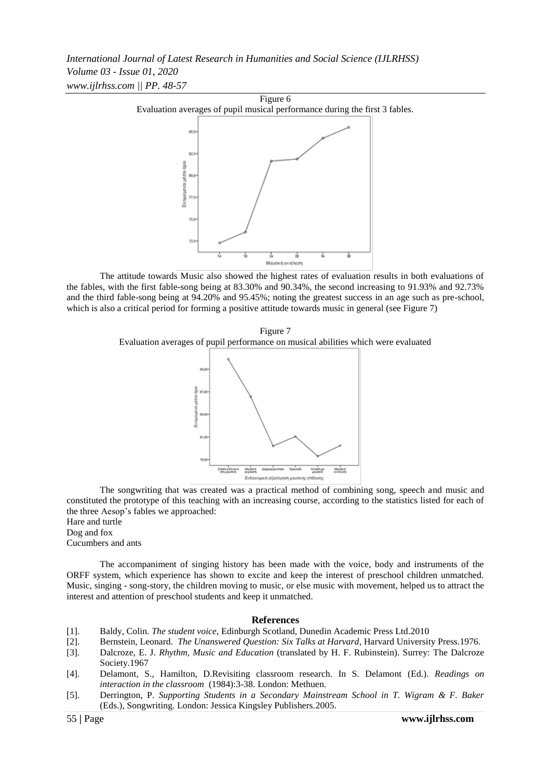

The attitude towards Music also showed the highest rates of evaluation results in both evaluations of the fables, with the first fable-song being at 83.30% and 90.34%, the second increasing to 91.93% and 92.73% and the third fable-song being at 94.20% and 95.45%; noting the greatest success in an age such as pre-school, which is also a critical period for forming a positive attitude towards music in general (see Figure 7)

Figure 7 Evaluation averages of pupil performance on musical abilities which were evaluated



The songwriting that was created was a practical method of combining song, speech and music and constituted the prototype of this teaching with an increasing course, according to the statistics listed for each of the three Aesop's fables we approached:

Hare and turtle Dog and fox Cucumbers and ants

The accompaniment of singing history has been made with the voice, body and instruments of the ORFF system, which experience has shown to excite and keep the interest of preschool children unmatched. Music, singing - song-story, the children moving to music, or else music with movement, helped us to attract the interest and attention of preschool students and keep it unmatched.

#### **References**

- [1]. Baldy, Colin. *The student voice*, Edinburgh Scotland, Dunedin Academic Press Ltd.2010
- [2]. Bernstein, Leonard. *The Unanswered Question: Six Talks at Harvard*, Harvard University Press.1976.
- [3]. Dalcroze, E. J. *Rhythm, Music and Education* (translated by H. F. Rubinstein). Surrey: The Dalcroze Society.1967
- [4]. Delamont, S., Hamilton, D.Revisiting classroom research. In S. Delamont (Ed.). *Readings on interaction in the classroom* (1984):3-38. London: Methuen.
- [5]. Derrington, P. *Supporting Students in a Secondary Mainstream School in T. Wigram & F. Baker* (Eds.), Songwriting. London: Jessica Kingsley Publishers.2005.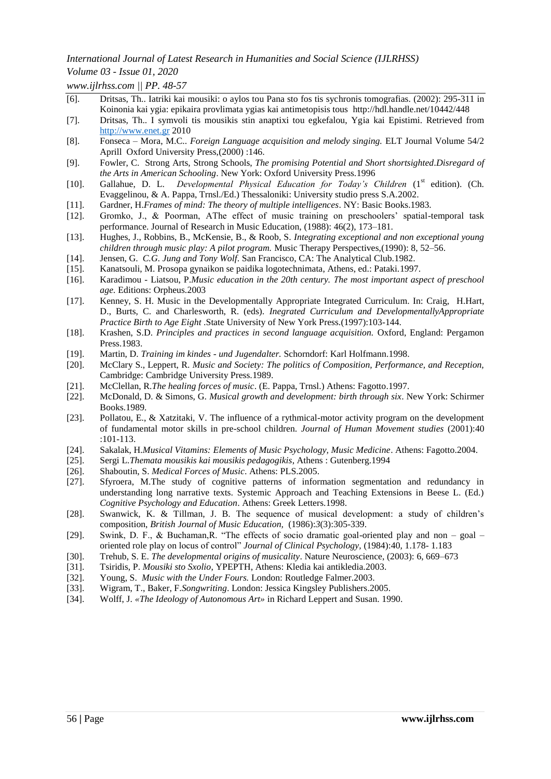*Volume 03 - Issue 01, 2020*

*www.ijlrhss.com || PP. 48-57*

- [6]. Dritsas, Th.. Iatriki kai mousiki: o aylos tou Pana sto fos tis sychronis tomografias. (2002): 295-311 in Koinonia kai ygia: epikaira provlimata ygias kai antimetopisis tous <http://hdl.handle.net/10442/448>
- [7]. Dritsas, Th.. I symvoli tis mousikis stin anaptixi tou egkefalou, Ygia kai Epistimi. Retrieved from [http://www.enet.gr](http://www.enet.gr/) 2010
- [8]. Fonseca Mora, M.C.. *Foreign Language acquisition and melody singing.* ELT Journal Volume 54/2 Aprill Oxford University Press,(2000) :146.
- [9]. Fowler, C. Strong Arts, Strong Schools, *The promising Potential and Short shortsighted.Disregard of the Arts in American Schooling*. New York: Oxford University Press.1996
- [10]. Gallahue, D. L. *Developmental Physical Education for Today's Children* (1<sup>st</sup> edition). (Ch. Evaggelinou, & A. Pappa, Trnsl./Ed.) Thessaloniki: University studio press S.A.2002.
- [11]. Gardner, H.*Frames of mind: The theory of multiple intelligences*. NY: Basic Books.1983.
- [12]. Gromko, J., & Poorman, AThe effect of music training on preschoolers' spatial-temporal task performance. Journal of Research in Music Education, (1988): 46(2), 173–181.
- [13]. Hughes, J., Robbins, B., McKensie, B., & Roob, S. *Integrating exceptional and non exceptional young children through music play: A pilot program.* Music Therapy Perspectives,(1990): 8, 52–56.
- [14]. Jensen, G. *C.G. Jung and Tony Wolf*. San Francisco, CA: The Analytical Club.1982.
- [15]. Kanatsouli, M. Prosopa gynaikon se paidika logotechnimata, Athens, ed.: Pataki.1997.
- [16]. Karadimou Liatsou, P.*Music education in the 20th century. Τhe most important aspect of preschool age.* Editions: Orpheus.2003
- [17]. Kenney, S. H. Music in the Developmentally Appropriate Integrated Curriculum. In: Craig, H.Hart, D., Burts, C. and Charlesworth, R. (eds). *Inegrated Curriculum and DevelopmentallyAppropriate Practice Birth to Age Eight* .State University of New York Press.(1997):103-144.
- [18]. Krashen, S.D. *Principles and practices in second language acquisition.* Oxford, England: Pergamon Press.1983.
- [19]. Martin, D. *Training im kindes - und Jugendalter.* Schorndorf: Karl Holfmann.1998.
- [20]. McClary S., Leppert, R. *Music and Society: The politics of Composition, Performance, and Reception,* Cambridge: Cambridge University Press.1989.
- [21]. McClellan, R.*The healing forces of music*. (E. Pappa, Trnsl.) Athens: Fagotto.1997.
- [22]. McDonald, D. & Simons, G. *Musical growth and development: birth through six*. New York: Schirmer Books.1989.
- [23]. Pollatou, E., & Xatzitaki, V. The influence of a rythmical-motor activity program on the development of fundamental motor skills in pre-school children. *Journal of Human Movement studies* (2001):40 :101-113.
- [24]. Sakalak, H.*Musical Vitamins: Elements of Music Psychology, Music Medicine*. Athens: Fagotto.2004.
- [25]. Sergi L.*Themata mousikis kai mousikis pedagogikis*, Athens : Gutenberg.1994
- [26]. Shaboutin, S. *Medical Forces of Music*. Athens: PLS.2005.
- [27]. Sfyroera, M.The study of cognitive patterns of information segmentation and redundancy in understanding long narrative texts. Systemic Approach and Teaching Extensions in Beese L. (Ed.) *Cognitive Psychology and Education*. Athens: Greek Letters.1998.
- [28]. Swanwick, K. & Tillman, J. B. The sequence of musical development: a study of children's composition, *British Journal of Music Education,* (1986):*3*(3):305-339.
- [29]. Swink, D. F., & Buchaman,R. "The effects of socio dramatic goal-oriented play and non goal oriented role play on locus of control" *Journal of Clinical Psychology,* (1984):40*,* 1.178- 1.183
- [30]. Trehub, S. E. *The developmental origins of musicality*. Nature Neuroscience, (2003): 6, 669–673
- [31]. Tsiridis, P. *Mousiki sto Sxolio*, YPEPTH, Athens: Kledia kai antikledia.2003.
- [32]. Young, S. *Music with the Under Fours.* London: Routledge Falmer.2003.
- [33]. Wigram, T., Baker, F.*Songwriting*. London: Jessica Kingsley Publishers.2005.
- [34]. Wolff, J. *«The Ideology of Autonomous Art»* in Richard Leppert and Susan. 1990.